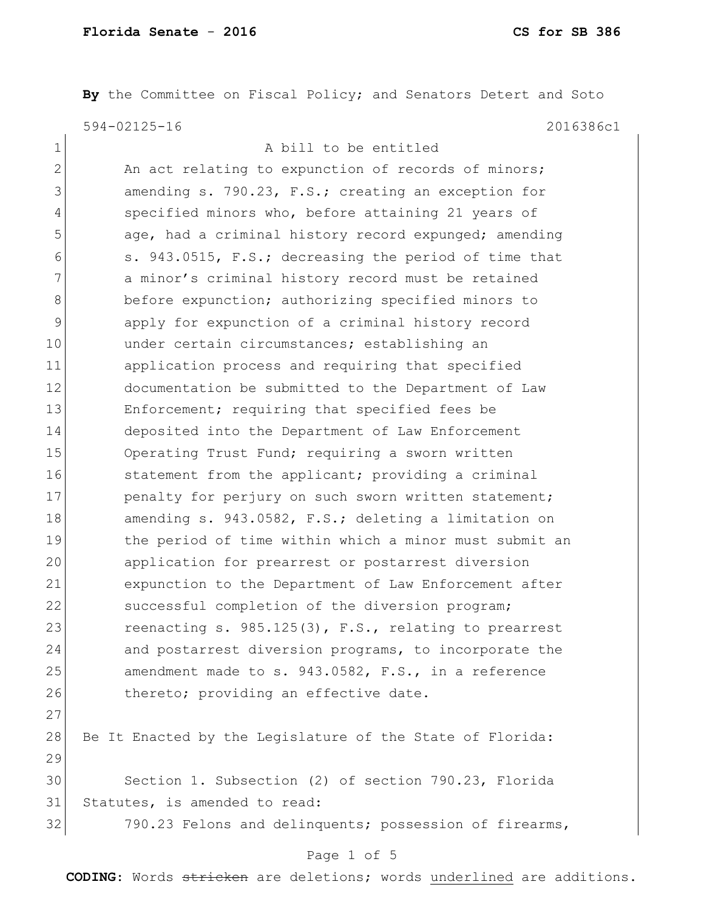By the Committee on Fiscal Policy; and Senators Detert and Soto 594-02125-16 2016386c1

| A bill to be entitled                                     |
|-----------------------------------------------------------|
| An act relating to expunction of records of minors;       |
| amending s. 790.23, F.S.; creating an exception for       |
| specified minors who, before attaining 21 years of        |
| age, had a criminal history record expunged; amending     |
| s. 943.0515, F.S.; decreasing the period of time that     |
| a minor's criminal history record must be retained        |
| before expunction; authorizing specified minors to        |
| apply for expunction of a criminal history record         |
| under certain circumstances; establishing an              |
| application process and requiring that specified          |
| documentation be submitted to the Department of Law       |
| Enforcement; requiring that specified fees be             |
| deposited into the Department of Law Enforcement          |
| Operating Trust Fund; requiring a sworn written           |
| statement from the applicant; providing a criminal        |
| penalty for perjury on such sworn written statement;      |
| amending s. 943.0582, F.S.; deleting a limitation on      |
| the period of time within which a minor must submit an    |
| application for prearrest or postarrest diversion         |
| expunction to the Department of Law Enforcement after     |
| successful completion of the diversion program;           |
| reenacting s. $985.125(3)$ , F.S., relating to prearrest  |
| and postarrest diversion programs, to incorporate the     |
| amendment made to s. 943.0582, F.S., in a reference       |
| thereto; providing an effective date.                     |
|                                                           |
| Be It Enacted by the Legislature of the State of Florida: |
|                                                           |
| Section 1. Subsection (2) of section 790.23, Florida      |
| Statutes, is amended to read:                             |
| 790.23 Felons and delinquents; possession of firearms,    |
| Page 1 of 5                                               |
|                                                           |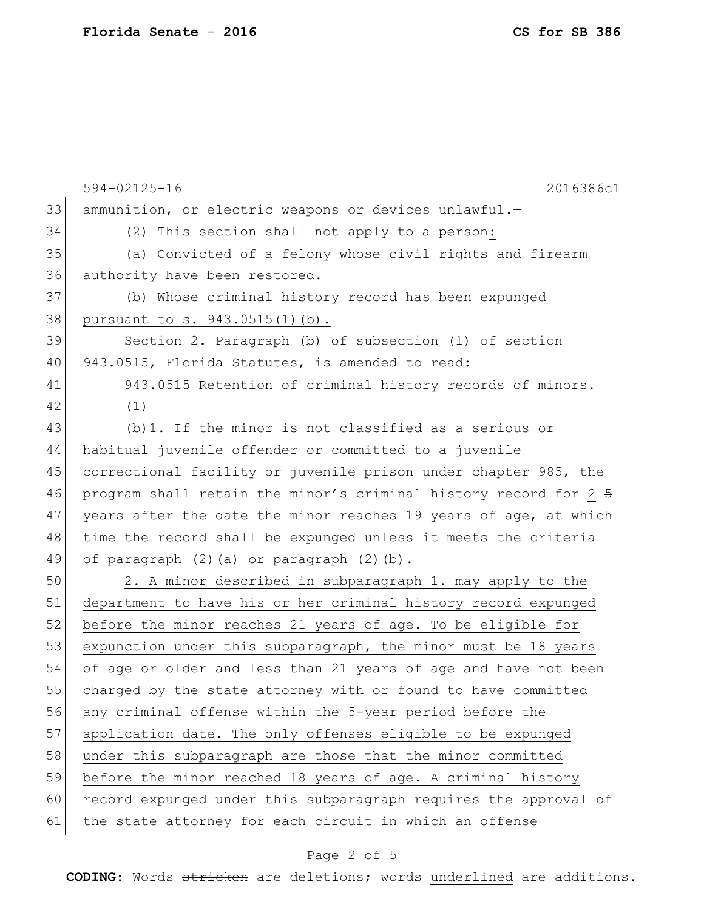|    | 594-02125-16<br>2016386c1                                        |
|----|------------------------------------------------------------------|
| 33 | ammunition, or electric weapons or devices unlawful.-            |
| 34 | (2) This section shall not apply to a person:                    |
| 35 | (a) Convicted of a felony whose civil rights and firearm         |
| 36 | authority have been restored.                                    |
| 37 | (b) Whose criminal history record has been expunged              |
| 38 | pursuant to s. 943.0515(1)(b).                                   |
| 39 | Section 2. Paragraph (b) of subsection (1) of section            |
| 40 | 943.0515, Florida Statutes, is amended to read:                  |
| 41 | 943.0515 Retention of criminal history records of minors.-       |
| 42 | (1)                                                              |
| 43 | (b) 1. If the minor is not classified as a serious or            |
| 44 | habitual juvenile offender or committed to a juvenile            |
| 45 | correctional facility or juvenile prison under chapter 985, the  |
| 46 | program shall retain the minor's criminal history record for 2 5 |
| 47 | years after the date the minor reaches 19 years of age, at which |
| 48 | time the record shall be expunged unless it meets the criteria   |
| 49 | of paragraph (2) (a) or paragraph (2) (b).                       |
| 50 | 2. A minor described in subparagraph 1. may apply to the         |
| 51 | department to have his or her criminal history record expunged   |
| 52 | before the minor reaches 21 years of age. To be eligible for     |
| 53 | expunction under this subparagraph, the minor must be 18 years   |
| 54 | of age or older and less than 21 years of age and have not been  |
| 55 | charged by the state attorney with or found to have committed    |
| 56 | any criminal offense within the 5-year period before the         |
| 57 | application date. The only offenses eligible to be expunged      |
| 58 | under this subparagraph are those that the minor committed       |
| 59 | before the minor reached 18 years of age. A criminal history     |
| 60 | record expunged under this subparagraph requires the approval of |
| 61 | the state attorney for each circuit in which an offense          |
|    |                                                                  |

## Page 2 of 5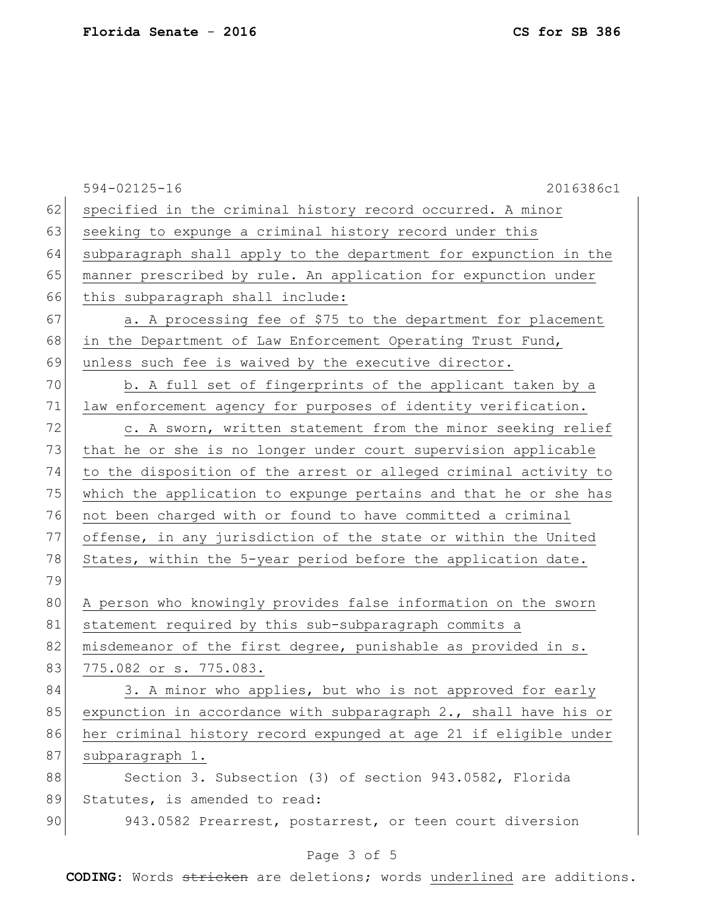594-02125-16 2016386c1 62 specified in the criminal history record occurred. A minor 63 seeking to expunge a criminal history record under this 64 subparagraph shall apply to the department for expunction in the 65 manner prescribed by rule. An application for expunction under 66 this subparagraph shall include: 67 a. A processing fee of \$75 to the department for placement 68 in the Department of Law Enforcement Operating Trust Fund, 69 unless such fee is waived by the executive director. 70 b. A full set of fingerprints of the applicant taken by a 71 law enforcement agency for purposes of identity verification. 72 c. A sworn, written statement from the minor seeking relief 73 that he or she is no longer under court supervision applicable 74 to the disposition of the arrest or alleged criminal activity to 75 which the application to expunge pertains and that he or she has 76 not been charged with or found to have committed a criminal 77 offense, in any jurisdiction of the state or within the United 78 States, within the 5-year period before the application date. 79 80 A person who knowingly provides false information on the sworn 81 statement required by this sub-subparagraph commits a 82 misdemeanor of the first degree, punishable as provided in s. 83 775.082 or s. 775.083. 84 3. A minor who applies, but who is not approved for early 85 expunction in accordance with subparagraph  $2.$ , shall have his or 86 her criminal history record expunged at age 21 if eligible under 87 subparagraph 1. 88 Section 3. Subsection (3) of section 943.0582, Florida 89 Statutes, is amended to read: 90 943.0582 Prearrest, postarrest, or teen court diversion

## Page 3 of 5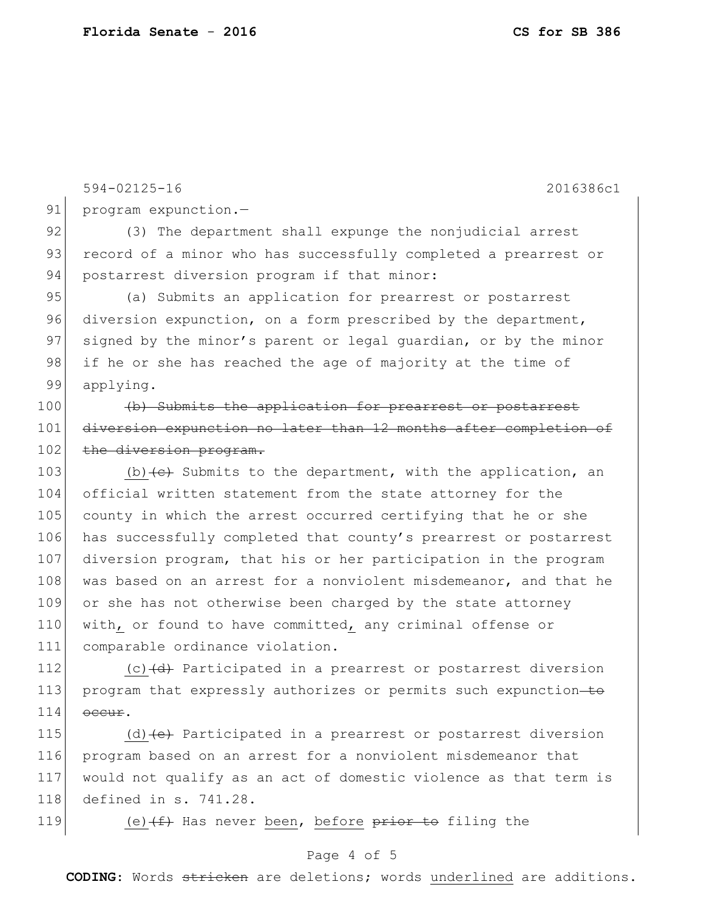594-02125-16 2016386c1 91 program expunction.-92 (3) The department shall expunge the nonjudicial arrest 93 record of a minor who has successfully completed a prearrest or 94 postarrest diversion program if that minor: 95 (a) Submits an application for prearrest or postarrest 96 diversion expunction, on a form prescribed by the department, 97 signed by the minor's parent or legal guardian, or by the minor 98 | if he or she has reached the age of majority at the time of 99 applying. 100 (b) Submits the application for prearrest or postarrest 101 diversion expunction no later than 12 months after completion of 102 the diversion program. 103 (b) (e) Submits to the department, with the application, an 104 official written statement from the state attorney for the 105 county in which the arrest occurred certifying that he or she 106 has successfully completed that county's prearrest or postarrest 107 diversion program, that his or her participation in the program 108 was based on an arrest for a nonviolent misdemeanor, and that he 109 or she has not otherwise been charged by the state attorney 110 with, or found to have committed, any criminal offense or 111 comparable ordinance violation.

112 (c) (d) Participated in a prearrest or postarrest diversion 113 program that expressly authorizes or permits such expunction-to  $114$  occur.

115 (d) (e) Participated in a prearrest or postarrest diversion program based on an arrest for a nonviolent misdemeanor that would not qualify as an act of domestic violence as that term is defined in s. 741.28.

119 (e) $(f)$  Has never been, before prior to filing the

## Page 4 of 5